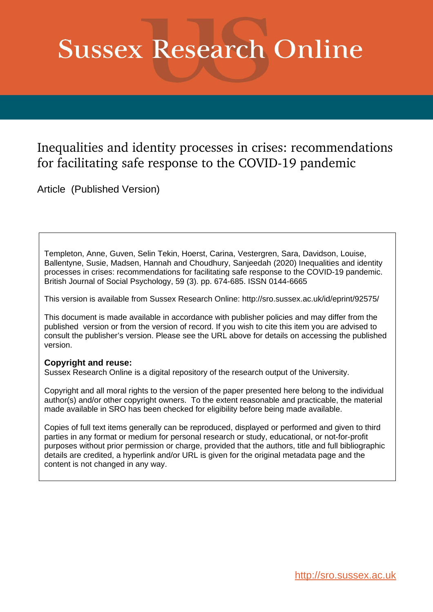# **Sussex Research Online**

# Inequalities and identity processes in crises: recommendations for facilitating safe response to the COVID-19 pandemic

Article (Published Version)

Templeton, Anne, Guven, Selin Tekin, Hoerst, Carina, Vestergren, Sara, Davidson, Louise, Ballentyne, Susie, Madsen, Hannah and Choudhury, Sanjeedah (2020) Inequalities and identity processes in crises: recommendations for facilitating safe response to the COVID-19 pandemic. British Journal of Social Psychology, 59 (3). pp. 674-685. ISSN 0144-6665

This version is available from Sussex Research Online: http://sro.sussex.ac.uk/id/eprint/92575/

This document is made available in accordance with publisher policies and may differ from the published version or from the version of record. If you wish to cite this item you are advised to consult the publisher's version. Please see the URL above for details on accessing the published version.

### **Copyright and reuse:**

Sussex Research Online is a digital repository of the research output of the University.

Copyright and all moral rights to the version of the paper presented here belong to the individual author(s) and/or other copyright owners. To the extent reasonable and practicable, the material made available in SRO has been checked for eligibility before being made available.

Copies of full text items generally can be reproduced, displayed or performed and given to third parties in any format or medium for personal research or study, educational, or not-for-profit purposes without prior permission or charge, provided that the authors, title and full bibliographic details are credited, a hyperlink and/or URL is given for the original metadata page and the content is not changed in any way.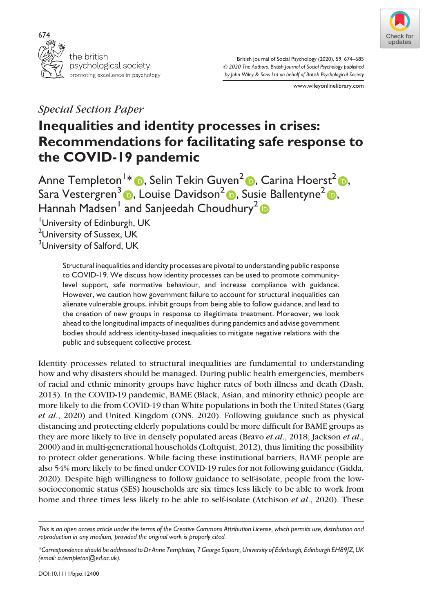



British Journal of Social Psychology (2020), 59, 674–685 © 2020 The Authors. British Journal of Social Psychology published by John Wiley & Sons Ltd on behalf of British Psychological Society

www.wileyonlinelibrary.com

## Special Section Paper

## Inequalities and identity processes in crises: Recommendations for facilitating safe response to the COVID-19 pandemic

Anne Templeton1 [\\*](https://orcid.org/0000-0002-5422-6297) , Selin Tekin Guven<sup>2</sup> , Carina Hoerst[2](https://orcid.org/0000-0003-2053-7502) , Sara Vestergren<sup>3</sup> D, Louise Davidson<sup>[2](https://orcid.org/0000-0002-1088-9988)</sup> D, Susie Ballentyne<sup>2</sup> D, Hannah Madsen<sup>1</sup> and Sanjeedah Choudhury<sup>2</sup>

<sup>1</sup>University of Edinburgh, UK <sup>2</sup>University of Sussex, UK <sup>3</sup>University of Salford, UK

> Structural inequalities and identity processes are pivotal to understanding public response to COVID-19. We discuss how identity processes can be used to promote communitylevel support, safe normative behaviour, and increase compliance with guidance. However, we caution how government failure to account for structural inequalities can alienate vulnerable groups, inhibit groups from being able to follow guidance, and lead to the creation of new groups in response to illegitimate treatment. Moreover, we look ahead to the longitudinal impacts of inequalities during pandemics and advise government bodies should address identity-based inequalities to mitigate negative relations with the public and subsequent collective protest.

Identity processes related to structural inequalities are fundamental to understanding how and why disasters should be managed. During public health emergencies, members of racial and ethnic minority groups have higher rates of both illness and death (Dash, 2013). In the COVID-19 pandemic, BAME (Black, Asian, and minority ethnic) people are more likely to die from COVID-19 than White populations in both the United States (Garg et al., 2020) and United Kingdom (ONS, 2020). Following guidance such as physical distancing and protecting elderly populations could be more difficult for BAME groups as they are more likely to live in densely populated areas (Bravo et al., 2018; Jackson et al., 2000) and in multi-generational households (Loftquist, 2012), thus limiting the possibility to protect older generations. While facing these institutional barriers, BAME people are also 54% more likely to be fined under COVID-19 rules for not following guidance (Gidda, 2020). Despite high willingness to follow guidance to self-isolate, people from the lowsocioeconomic status (SES) households are six times less likely to be able to work from home and three times less likely to be able to self-isolate (Atchison et al., 2020). These

This is an open access article under the terms of the [Creative Commons Attribution](http://creativecommons.org/licenses/by/4.0/) License, which permits use, distribution and reproduction in any medium, provided the original work is properly cited.

<sup>\*</sup>Correspondence should be addressed to Dr Anne Templeton, 7 George Square, University of Edinburgh, Edinburgh EH89JZ, UK (email: [a.templeton@ed.ac.uk](mailto:)).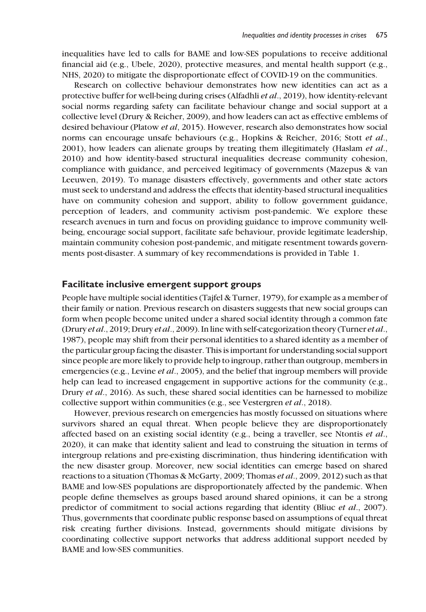inequalities have led to calls for BAME and low-SES populations to receive additional financial aid (e.g., Ubele, 2020), protective measures, and mental health support (e.g., NHS, 2020) to mitigate the disproportionate effect of COVID-19 on the communities.

Research on collective behaviour demonstrates how new identities can act as a protective buffer for well-being during crises (Alfadhli et al., 2019), how identity-relevant social norms regarding safety can facilitate behaviour change and social support at a collective level (Drury & Reicher, 2009), and how leaders can act as effective emblems of desired behaviour (Platow et al, 2015). However, research also demonstrates how social norms can encourage unsafe behaviours (e.g., Hopkins & Reicher, 2016; Stott et al., 2001), how leaders can alienate groups by treating them illegitimately (Haslam *et al.*, 2010) and how identity-based structural inequalities decrease community cohesion, compliance with guidance, and perceived legitimacy of governments (Mazepus & van Leeuwen, 2019). To manage disasters effectively, governments and other state actors must seek to understand and address the effects that identity-based structural inequalities have on community cohesion and support, ability to follow government guidance, perception of leaders, and community activism post-pandemic. We explore these research avenues in turn and focus on providing guidance to improve community wellbeing, encourage social support, facilitate safe behaviour, provide legitimate leadership, maintain community cohesion post-pandemic, and mitigate resentment towards governments post-disaster. A summary of key recommendations is provided in Table 1.

#### Facilitate inclusive emergent support groups

People have multiple social identities (Tajfel & Turner, 1979), for example as a member of their family or nation. Previous research on disasters suggests that new social groups can form when people become united under a shared social identity through a common fate (Drury et al., 2019; Drury et al., 2009). In line with self-categorization theory (Turner et al., 1987), people may shift from their personal identities to a shared identity as a member of the particular group facing the disaster. This is important for understanding social support since people are more likely to provide help to ingroup, rather than outgroup, members in emergencies (e.g., Levine *et al.*, 2005), and the belief that ingroup members will provide help can lead to increased engagement in supportive actions for the community (e.g., Drury et al., 2016). As such, these shared social identities can be harnessed to mobilize collective support within communities (e.g., see Vestergren et al., 2018).

However, previous research on emergencies has mostly focussed on situations where survivors shared an equal threat. When people believe they are disproportionately affected based on an existing social identity (e.g., being a traveller, see Ntontis et al., 2020), it can make that identity salient and lead to construing the situation in terms of intergroup relations and pre-existing discrimination, thus hindering identification with the new disaster group. Moreover, new social identities can emerge based on shared reactions to a situation (Thomas & McGarty, 2009; Thomas et al., 2009, 2012) such as that BAME and low-SES populations are disproportionately affected by the pandemic. When people define themselves as groups based around shared opinions, it can be a strong predictor of commitment to social actions regarding that identity (Bliuc et al., 2007). Thus, governments that coordinate public response based on assumptions of equal threat risk creating further divisions. Instead, governments should mitigate divisions by coordinating collective support networks that address additional support needed by BAME and low-SES communities.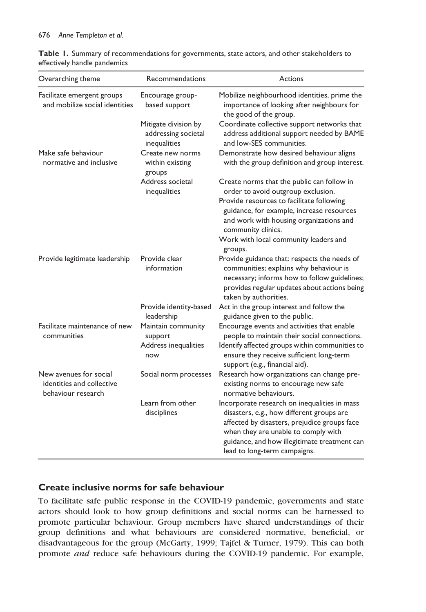#### 676 Anne Templeton et al.

|                              |  |  |  | Table 1. Summary of recommendations for governments, state actors, and other stakeholders to |
|------------------------------|--|--|--|----------------------------------------------------------------------------------------------|
| effectively handle pandemics |  |  |  |                                                                                              |

| Overarching theme                                                         | Recommendations                                             | Actions                                                                                                                                                                                                                                                          |  |  |
|---------------------------------------------------------------------------|-------------------------------------------------------------|------------------------------------------------------------------------------------------------------------------------------------------------------------------------------------------------------------------------------------------------------------------|--|--|
| Facilitate emergent groups<br>and mobilize social identities              | Encourage group-<br>based support                           | Mobilize neighbourhood identities, prime the<br>importance of looking after neighbours for<br>the good of the group.                                                                                                                                             |  |  |
|                                                                           | Mitigate division by<br>addressing societal<br>inequalities | Coordinate collective support networks that<br>address additional support needed by BAME<br>and low-SES communities.                                                                                                                                             |  |  |
| Make safe behaviour<br>normative and inclusive                            | Create new norms<br>within existing<br>groups               | Demonstrate how desired behaviour aligns<br>with the group definition and group interest.                                                                                                                                                                        |  |  |
|                                                                           | Address societal<br>inequalities                            | Create norms that the public can follow in<br>order to avoid outgroup exclusion.<br>Provide resources to facilitate following<br>guidance, for example, increase resources<br>and work with housing organizations and                                            |  |  |
|                                                                           |                                                             | community clinics.<br>Work with local community leaders and<br>groups.                                                                                                                                                                                           |  |  |
| Provide legitimate leadership                                             | Provide clear<br>information                                | Provide guidance that: respects the needs of<br>communities; explains why behaviour is<br>necessary; informs how to follow guidelines;<br>provides regular updates about actions being<br>taken by authorities.                                                  |  |  |
|                                                                           | Provide identity-based<br>leadership                        | Act in the group interest and follow the<br>guidance given to the public.                                                                                                                                                                                        |  |  |
| Facilitate maintenance of new<br>communities                              | Maintain community<br>support<br>Address inequalities       | Encourage events and activities that enable<br>people to maintain their social connections.                                                                                                                                                                      |  |  |
|                                                                           | now                                                         | Identify affected groups within communities to<br>ensure they receive sufficient long-term<br>support (e.g., financial aid).                                                                                                                                     |  |  |
| New avenues for social<br>identities and collective<br>behaviour research | Social norm processes                                       | Research how organizations can change pre-<br>existing norms to encourage new safe<br>normative behaviours.                                                                                                                                                      |  |  |
|                                                                           | Learn from other<br>disciplines                             | Incorporate research on inequalities in mass<br>disasters, e.g., how different groups are<br>affected by disasters, prejudice groups face<br>when they are unable to comply with<br>guidance, and how illegitimate treatment can<br>lead to long-term campaigns. |  |  |

#### Create inclusive norms for safe behaviour

To facilitate safe public response in the COVID-19 pandemic, governments and state actors should look to how group definitions and social norms can be harnessed to promote particular behaviour. Group members have shared understandings of their group definitions and what behaviours are considered normative, beneficial, or disadvantageous for the group (McGarty, 1999; Tajfel & Turner, 1979). This can both promote and reduce safe behaviours during the COVID-19 pandemic. For example,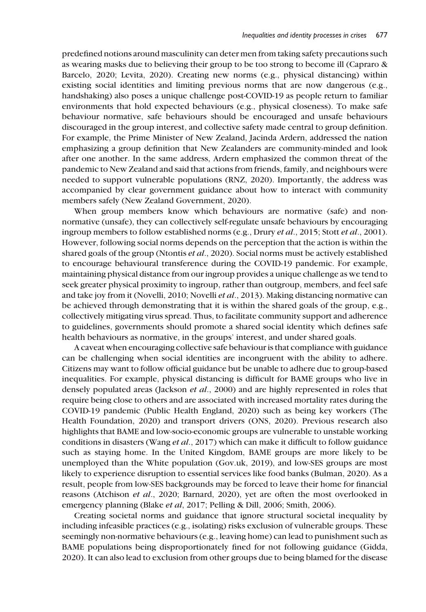predefined notions around masculinity can deter men from taking safety precautions such as wearing masks due to believing their group to be too strong to become ill (Capraro & Barcelo, 2020; Levita, 2020). Creating new norms (e.g., physical distancing) within existing social identities and limiting previous norms that are now dangerous (e.g., handshaking) also poses a unique challenge post-COVID-19 as people return to familiar environments that hold expected behaviours (e.g., physical closeness). To make safe behaviour normative, safe behaviours should be encouraged and unsafe behaviours discouraged in the group interest, and collective safety made central to group definition. For example, the Prime Minister of New Zealand, Jacinda Ardern, addressed the nation emphasizing a group definition that New Zealanders are community-minded and look after one another. In the same address, Ardern emphasized the common threat of the pandemic to New Zealand and said that actions from friends, family, and neighbours were needed to support vulnerable populations (RNZ, 2020). Importantly, the address was accompanied by clear government guidance about how to interact with community members safely (New Zealand Government, 2020).

When group members know which behaviours are normative (safe) and nonnormative (unsafe), they can collectively self-regulate unsafe behaviours by encouraging ingroup members to follow established norms (e.g., Drury *et al.*, 2015; Stott *et al.*, 2001). However, following social norms depends on the perception that the action is within the shared goals of the group (Ntontis et al., 2020). Social norms must be actively established to encourage behavioural transference during the COVID-19 pandemic. For example, maintaining physical distance from our ingroup provides a unique challenge as we tend to seek greater physical proximity to ingroup, rather than outgroup, members, and feel safe and take joy from it (Novelli, 2010; Novelli et al., 2013). Making distancing normative can be achieved through demonstrating that it is within the shared goals of the group, e.g., collectively mitigating virus spread. Thus, to facilitate community support and adherence to guidelines, governments should promote a shared social identity which defines safe health behaviours as normative, in the groups' interest, and under shared goals.

A caveat when encouraging collective safe behaviour is that compliance with guidance can be challenging when social identities are incongruent with the ability to adhere. Citizens may want to follow official guidance but be unable to adhere due to group-based inequalities. For example, physical distancing is difficult for BAME groups who live in densely populated areas (Jackson *et al.*, 2000) and are highly represented in roles that require being close to others and are associated with increased mortality rates during the COVID-19 pandemic (Public Health England, 2020) such as being key workers (The Health Foundation, 2020) and transport drivers (ONS, 2020). Previous research also highlights that BAME and low-socio-economic groups are vulnerable to unstable working conditions in disasters (Wang et al., 2017) which can make it difficult to follow guidance such as staying home. In the United Kingdom, BAME groups are more likely to be unemployed than the White population (Gov.uk, 2019), and low-SES groups are most likely to experience disruption to essential services like food banks (Bulman, 2020). As a result, people from low-SES backgrounds may be forced to leave their home for financial reasons (Atchison et al., 2020; Barnard, 2020), yet are often the most overlooked in emergency planning (Blake et al, 2017; Pelling & Dill, 2006; Smith, 2006).

Creating societal norms and guidance that ignore structural societal inequality by including infeasible practices (e.g., isolating) risks exclusion of vulnerable groups. These seemingly non-normative behaviours (e.g., leaving home) can lead to punishment such as BAME populations being disproportionately fined for not following guidance (Gidda, 2020). It can also lead to exclusion from other groups due to being blamed for the disease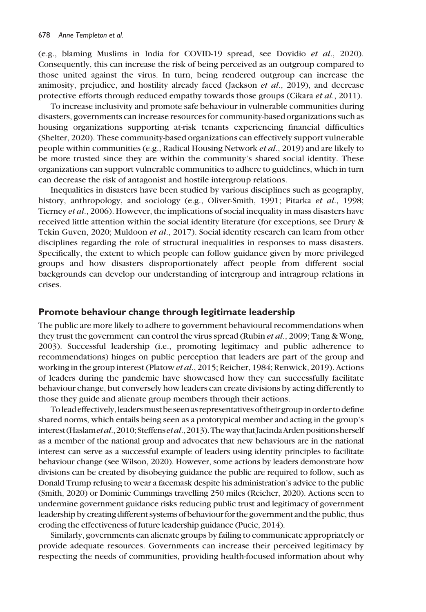(e.g., blaming Muslims in India for COVID-19 spread, see Dovidio et al., 2020). Consequently, this can increase the risk of being perceived as an outgroup compared to those united against the virus. In turn, being rendered outgroup can increase the animosity, prejudice, and hostility already faced (Jackson et al., 2019), and decrease protective efforts through reduced empathy towards those groups (Cikara et al., 2011).

To increase inclusivity and promote safe behaviour in vulnerable communities during disasters, governments can increase resources for community-based organizations such as housing organizations supporting at-risk tenants experiencing financial difficulties (Shelter, 2020). These community-based organizations can effectively support vulnerable people within communities (e.g., Radical Housing Network et al., 2019) and are likely to be more trusted since they are within the community's shared social identity. These organizations can support vulnerable communities to adhere to guidelines, which in turn can decrease the risk of antagonist and hostile intergroup relations.

Inequalities in disasters have been studied by various disciplines such as geography, history, anthropology, and sociology (e.g., Oliver-Smith, 1991; Pitarka et al., 1998; Tierney et al., 2006). However, the implications of social inequality in mass disasters have received little attention within the social identity literature (for exceptions, see Drury & Tekin Guven, 2020; Muldoon et al., 2017). Social identity research can learn from other disciplines regarding the role of structural inequalities in responses to mass disasters. Specifically, the extent to which people can follow guidance given by more privileged groups and how disasters disproportionately affect people from different social backgrounds can develop our understanding of intergroup and intragroup relations in crises.

#### Promote behaviour change through legitimate leadership

The public are more likely to adhere to government behavioural recommendations when they trust the government can control the virus spread (Rubin et al., 2009; Tang & Wong, 2003). Successful leadership (i.e., promoting legitimacy and public adherence to recommendations) hinges on public perception that leaders are part of the group and working in the group interest (Platow et al., 2015; Reicher, 1984; Renwick, 2019). Actions of leaders during the pandemic have showcased how they can successfully facilitate behaviour change, but conversely how leaders can create divisions by acting differently to those they guide and alienate group members through their actions.

To lead effectively, leaders must be seen as representatives of their group in order to define shared norms, which entails being seen as a prototypical member and acting in the group's interest (Haslam et al., 2010; Steffens et al., 2013). The way that Jacinda Arden positions herself as a member of the national group and advocates that new behaviours are in the national interest can serve as a successful example of leaders using identity principles to facilitate behaviour change (see Wilson, 2020). However, some actions by leaders demonstrate how divisions can be created by disobeying guidance the public are required to follow, such as Donald Trump refusing to wear a facemask despite his administration's advice to the public (Smith, 2020) or Dominic Cummings travelling 250 miles (Reicher, 2020). Actions seen to undermine government guidance risks reducing public trust and legitimacy of government leadership by creating different systems of behaviour for the government and the public, thus eroding the effectiveness of future leadership guidance (Pucic, 2014).

Similarly, governments can alienate groups by failing to communicate appropriately or provide adequate resources. Governments can increase their perceived legitimacy by respecting the needs of communities, providing health-focused information about why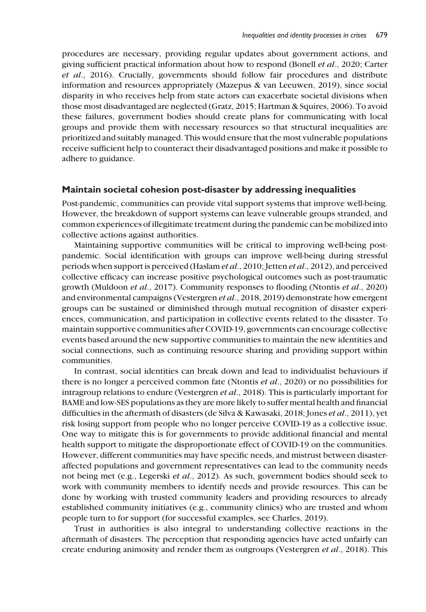procedures are necessary, providing regular updates about government actions, and giving sufficient practical information about how to respond (Bonell et al., 2020; Carter et al., 2016). Crucially, governments should follow fair procedures and distribute information and resources appropriately (Mazepus & van Leeuwen, 2019), since social disparity in who receives help from state actors can exacerbate societal divisions when those most disadvantaged are neglected (Gratz, 2015; Hartman & Squires, 2006). To avoid these failures, government bodies should create plans for communicating with local groups and provide them with necessary resources so that structural inequalities are prioritized and suitably managed. This would ensure that the most vulnerable populations receive sufficient help to counteract their disadvantaged positions and make it possible to adhere to guidance.

#### Maintain societal cohesion post-disaster by addressing inequalities

Post-pandemic, communities can provide vital support systems that improve well-being. However, the breakdown of support systems can leave vulnerable groups stranded, and common experiences of illegitimate treatment during the pandemic can be mobilized into collective actions against authorities.

Maintaining supportive communities will be critical to improving well-being postpandemic. Social identification with groups can improve well-being during stressful periods when support is perceived (Haslam et al., 2010; Jetten et al., 2012), and perceived collective efficacy can increase positive psychological outcomes such as post-traumatic growth (Muldoon et al., 2017). Community responses to flooding (Ntontis et al., 2020) and environmental campaigns (Vestergren et al., 2018, 2019) demonstrate how emergent groups can be sustained or diminished through mutual recognition of disaster experiences, communication, and participation in collective events related to the disaster. To maintain supportive communities after COVID-19, governments can encourage collective events based around the new supportive communities to maintain the new identities and social connections, such as continuing resource sharing and providing support within communities.

In contrast, social identities can break down and lead to individualist behaviours if there is no longer a perceived common fate (Ntontis et al., 2020) or no possibilities for intragroup relations to endure (Vestergren et al., 2018). This is particularly important for BAME and low-SES populations as they are more likely to suffer mental health and financial difficulties in the aftermath of disasters (de Silva & Kawasaki, 2018; Jones et al., 2011), yet risk losing support from people who no longer perceive COVID-19 as a collective issue. One way to mitigate this is for governments to provide additional financial and mental health support to mitigate the disproportionate effect of COVID-19 on the communities. However, different communities may have specific needs, and mistrust between disasteraffected populations and government representatives can lead to the community needs not being met (e.g., Legerski et al., 2012). As such, government bodies should seek to work with community members to identify needs and provide resources. This can be done by working with trusted community leaders and providing resources to already established community initiatives (e.g., community clinics) who are trusted and whom people turn to for support (for successful examples, see Charles, 2019).

Trust in authorities is also integral to understanding collective reactions in the aftermath of disasters. The perception that responding agencies have acted unfairly can create enduring animosity and render them as outgroups (Vestergren et al., 2018). This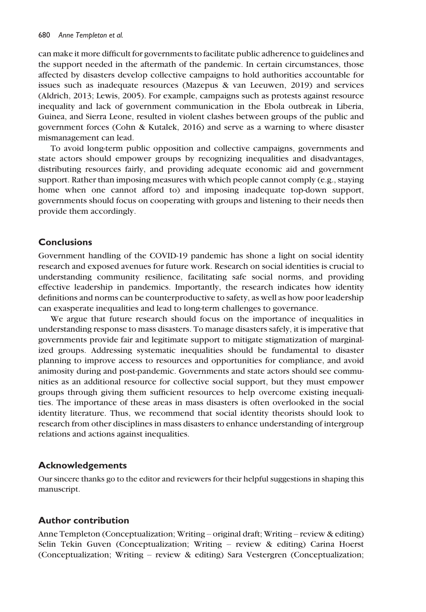can make it more difficult for governments to facilitate public adherence to guidelines and the support needed in the aftermath of the pandemic. In certain circumstances, those affected by disasters develop collective campaigns to hold authorities accountable for issues such as inadequate resources (Mazepus & van Leeuwen, 2019) and services (Aldrich, 2013; Lewis, 2005). For example, campaigns such as protests against resource inequality and lack of government communication in the Ebola outbreak in Liberia, Guinea, and Sierra Leone, resulted in violent clashes between groups of the public and government forces (Cohn & Kutalek, 2016) and serve as a warning to where disaster mismanagement can lead.

To avoid long-term public opposition and collective campaigns, governments and state actors should empower groups by recognizing inequalities and disadvantages, distributing resources fairly, and providing adequate economic aid and government support. Rather than imposing measures with which people cannot comply (e.g., staying home when one cannot afford to) and imposing inadequate top-down support, governments should focus on cooperating with groups and listening to their needs then provide them accordingly.

#### **Conclusions**

Government handling of the COVID-19 pandemic has shone a light on social identity research and exposed avenues for future work. Research on social identities is crucial to understanding community resilience, facilitating safe social norms, and providing effective leadership in pandemics. Importantly, the research indicates how identity definitions and norms can be counterproductive to safety, as well as how poor leadership can exasperate inequalities and lead to long-term challenges to governance.

We argue that future research should focus on the importance of inequalities in understanding response to mass disasters. To manage disasters safely, it is imperative that governments provide fair and legitimate support to mitigate stigmatization of marginalized groups. Addressing systematic inequalities should be fundamental to disaster planning to improve access to resources and opportunities for compliance, and avoid animosity during and post-pandemic. Governments and state actors should see communities as an additional resource for collective social support, but they must empower groups through giving them sufficient resources to help overcome existing inequalities. The importance of these areas in mass disasters is often overlooked in the social identity literature. Thus, we recommend that social identity theorists should look to research from other disciplines in mass disasters to enhance understanding of intergroup relations and actions against inequalities.

#### Acknowledgements

Our sincere thanks go to the editor and reviewers for their helpful suggestions in shaping this manuscript.

#### Author contribution

Anne Templeton (Conceptualization; Writing – original draft; Writing – review & editing) Selin Tekin Guven (Conceptualization; Writing – review & editing) Carina Hoerst (Conceptualization; Writing – review & editing) Sara Vestergren (Conceptualization;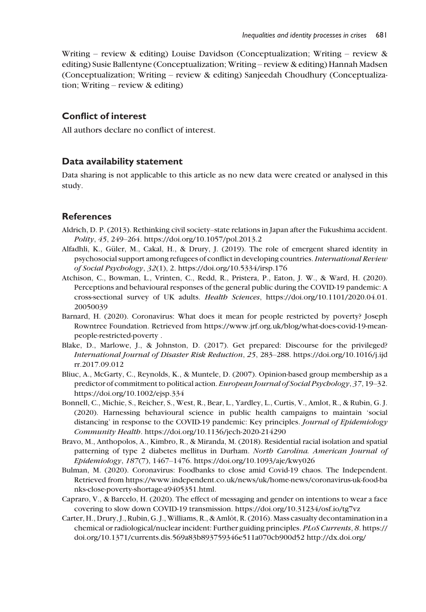Writing – review & editing) Louise Davidson (Conceptualization; Writing – review & editing) Susie Ballentyne (Conceptualization; Writing – review & editing) Hannah Madsen (Conceptualization; Writing – review & editing) Sanjeedah Choudhury (Conceptualization; Writing – review & editing)

#### Conflict of interest

All authors declare no conflict of interest.

#### Data availability statement

Data sharing is not applicable to this article as no new data were created or analysed in this study.

#### **References**

- Aldrich, D. P. (2013). Rethinking civil society–state relations in Japan after the Fukushima accident. Polity, 45, 249–264.<https://doi.org/10.1057/pol.2013.2>
- Alfadhli, K., Güler, M., Cakal, H., & Drury, J. (2019). The role of emergent shared identity in psychosocial support among refugees of conflict in developing countries.International Review of Social Psychology, 32(1), 2.<https://doi.org/10.5334/irsp.176>
- Atchison, C., Bowman, L., Vrinten, C., Redd, R., Pristera, P., Eaton, J. W., & Ward, H. (2020). Perceptions and behavioural responses of the general public during the COVID-19 pandemic: A cross-sectional survey of UK adults. Health Sciences, [https://doi.org/10.1101/2020.04.01.](https://doi.org/10.1101/2020.04.01.20050039) [20050039](https://doi.org/10.1101/2020.04.01.20050039)
- Barnard, H. (2020). Coronavirus: What does it mean for people restricted by poverty? Joseph Rowntree Foundation. Retrieved from [https://www.jrf.org.uk/blog/what-does-covid-19-mean](https://www.jrf.org.uk/blog/what-does-covid-19-mean-people-restricted-poverty)[people-restricted-poverty](https://www.jrf.org.uk/blog/what-does-covid-19-mean-people-restricted-poverty) [.](http://.)
- Blake, D., Marlowe, J., & Johnston, D. (2017). Get prepared: Discourse for the privileged? International Journal of Disaster Risk Reduction, 25, 283–288. [https://doi.org/10.1016/j.ijd](https://doi.org/10.1016/j.ijdrr.2017.09.012) [rr.2017.09.012](https://doi.org/10.1016/j.ijdrr.2017.09.012)
- Bliuc, A., McGarty, C., Reynolds, K., & Muntele, D. (2007). Opinion-based group membership as a predictor of commitment to political action. European Journal of Social Psychology, 37, 19-32. <https://doi.org/10.1002/ejsp.334>
- Bonnell, C., Michie, S., Reicher, S., West, R., Bear, L., Yardley, L., Curtis, V., Amlot, R., & Rubin, G. J. (2020). Harnessing behavioural science in public health campaigns to maintain 'social distancing' in response to the COVID-19 pandemic: Key principles. Journal of Epidemiology Community Health.<https://doi.org/10.1136/jech-2020-214290>
- Bravo, M., Anthopolos, A., Kimbro, R., & Miranda, M. (2018). Residential racial isolation and spatial patterning of type 2 diabetes mellitus in Durham. North Carolina. American Journal of Epidemiology, 187(7), 1467–1476.<https://doi.org/10.1093/aje/kwy026>
- Bulman, M. (2020). Coronavirus: Foodbanks to close amid Covid-19 chaos. The Independent. Retrieved from [https://www.independent.co.uk/news/uk/home-news/coronavirus-uk-food-ba](https://www.independent.co.uk/news/uk/home-news/coronavirus-uk-food-banks-close-poverty-shortage-a9405351.html) [nks-close-poverty-shortage-a9405351.html](https://www.independent.co.uk/news/uk/home-news/coronavirus-uk-food-banks-close-poverty-shortage-a9405351.html).
- Capraro, V., & Barcelo, H. (2020). The effect of messaging and gender on intentions to wear a face covering to slow down COVID-19 transmission.<https://doi.org/10.31234/osf.io/tg7vz>
- Carter, H., Drury, J., Rubin, G. J., Williams, R., & Amlot, R. (2016). Mass casualty decontamination in a ^ chemical or radiological/nuclear incident: Further guiding principles. PLoS Currents, 8. [https://](https://doi.org/10.1371/currents.dis.569a83b893759346e511a070cb900d52) [doi.org/10.1371/currents.dis.569a83b893759346e511a070cb900d52](https://doi.org/10.1371/currents.dis.569a83b893759346e511a070cb900d52)<http://dx.doi.org/>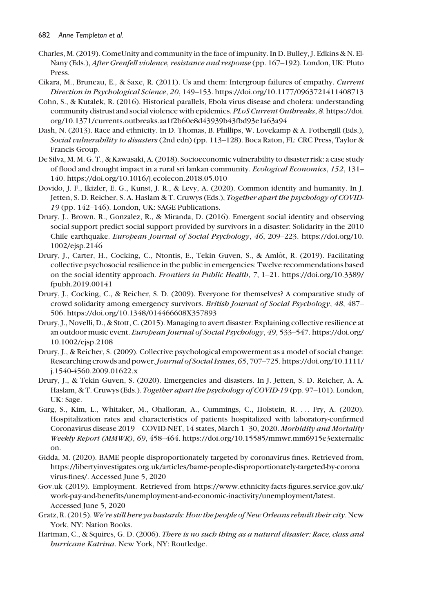- Charles, M. (2019). ComeUnity and community in the face of impunity. In D. Bulley, J. Edkins & N. El-Nany (Eds.), After Grenfell violence, resistance and response (pp. 167–192). London, UK: Pluto Press.
- Cikara, M., Bruneau, E., & Saxe, R. (2011). Us and them: Intergroup failures of empathy. Current Direction in Psychological Science, 20, 149–153.<https://doi.org/10.1177/0963721411408713>
- Cohn, S., & Kutalek, R. (2016). Historical parallels, Ebola virus disease and cholera: understanding community distrust and social violence with epidemics. PLoS Current Outbreaks, 8. [https://doi.](https://doi.org/10.1371/currents.outbreaks.aa1f2b60e8d43939b43fbd93e1a63a94) [org/10.1371/currents.outbreaks.aa1f2b60e8d43939b43fbd93e1a63a94](https://doi.org/10.1371/currents.outbreaks.aa1f2b60e8d43939b43fbd93e1a63a94)
- Dash, N. (2013). Race and ethnicity. In D. Thomas, B. Phillips, W. Lovekamp & A. Fothergill (Eds.), Social vulnerability to disasters (2nd edn) (pp. 113–128). Boca Raton, FL: CRC Press, Taylor & Francis Group.
- De Silva, M. M. G. T., & Kawasaki, A. (2018). Socioeconomic vulnerability to disaster risk: a case study of flood and drought impact in a rural sri lankan community. Ecological Economics, 152, 131– 140.<https://doi.org/10.1016/j.ecolecon.2018.05.010>
- Dovido, J. F., Ikizler, E. G., Kunst, J. R., & Levy, A. (2020). Common identity and humanity. In J. Jetten, S. D. Reicher, S. A. Haslam & T. Cruwys (Eds.), Together apart the psychology of COVID-19 (pp. 142–146). London, UK: SAGE Publications.
- Drury, J., Brown, R., Gonzalez, R., & Miranda, D. (2016). Emergent social identity and observing social support predict social support provided by survivors in a disaster: Solidarity in the 2010 Chile earthquake. European Journal of Social Psychology, 46, 209–223. [https://doi.org/10.](https://doi.org/10.1002/ejsp.2146) [1002/ejsp.2146](https://doi.org/10.1002/ejsp.2146)
- Drury, J., Carter, H., Cocking, C., Ntontis, E., Tekin Guven, S., & Amlot, R. (2019). Facilitating ^ collective psychosocial resilience in the public in emergencies: Twelve recommendations based on the social identity approach. Frontiers in Public Health, 7, 1–21. [https://doi.org/10.3389/](https://doi.org/10.3389/fpubh.2019.00141) [fpubh.2019.00141](https://doi.org/10.3389/fpubh.2019.00141)
- Drury, J., Cocking, C., & Reicher, S. D. (2009). Everyone for themselves? A comparative study of crowd solidarity among emergency survivors. British Journal of Social Psychology, 48, 487– 506.<https://doi.org/10.1348/014466608X357893>
- Drury, J., Novelli, D., & Stott, C. (2015). Managing to avert disaster: Explaining collective resilience at an outdoor music event. European Journal of Social Psychology, 49, 533–547. [https://doi.org/](https://doi.org/10.1002/ejsp.2108) [10.1002/ejsp.2108](https://doi.org/10.1002/ejsp.2108)
- Drury, J., & Reicher, S. (2009). Collective psychological empowerment as a model of social change: Researching crowds and power.Journal of Social Issues, 65, 707–725. [https://doi.org/10.1111/](https://doi.org/10.1111/j.1540-4560.2009.01622.x) [j.1540-4560.2009.01622.x](https://doi.org/10.1111/j.1540-4560.2009.01622.x)
- Drury, J., & Tekin Guven, S. (2020). Emergencies and disasters. In J. Jetten, S. D. Reicher, A. A. Haslam, & T. Cruwys (Eds.). Together apart the psychology of COVID-19 (pp. 97–101). London, UK: Sage.
- Garg, S., Kim, L., Whitaker, M., Ohalloran, A., Cummings, C., Holstein, R. ... Fry, A. (2020). Hospitalization rates and characteristics of patients hospitalized with laboratory-confirmed Coronavirus disease 2019 – COVID-NET, 14 states, March 1–30, 2020. Morbidity and Mortality Weekly Report (MMWR), 69, 458–464. [https://doi.org/10.15585/mmwr.mm6915e3externalic](https://doi.org/10.15585/mmwr.mm6915e3externalicon) [on](https://doi.org/10.15585/mmwr.mm6915e3externalicon).
- Gidda, M. (2020). BAME people disproportionately targeted by coronavirus fines. Retrieved from, [https://libertyinvestigates.org.uk/articles/bame-people-disproportionately-targeted-by-corona](https://libertyinvestigates.org.uk/articles/bame-people-disproportionately-targeted-by-coronavirus-fines/) [virus-fines/](https://libertyinvestigates.org.uk/articles/bame-people-disproportionately-targeted-by-coronavirus-fines/). Accessed June 5, 2020
- Gov.uk (2019). Employment. Retrieved from [https://www.ethnicity-facts-figures.service.gov.uk/](https://www.ethnicity-facts-figures.service.gov.uk/work-pay-and-benefits/unemployment-and-economic-inactivity/unemployment/latest) [work-pay-and-benefits/unemployment-and-economic-inactivity/unemployment/latest.](https://www.ethnicity-facts-figures.service.gov.uk/work-pay-and-benefits/unemployment-and-economic-inactivity/unemployment/latest) Accessed June 5, 2020
- Gratz, R. (2015). We're still here ya bastards: How the people of New Orleans rebuilt their city. New York, NY: Nation Books.
- Hartman, C., & Squires, G. D. (2006). There is no such thing as a natural disaster: Race, class and hurricane Katrina. New York, NY: Routledge.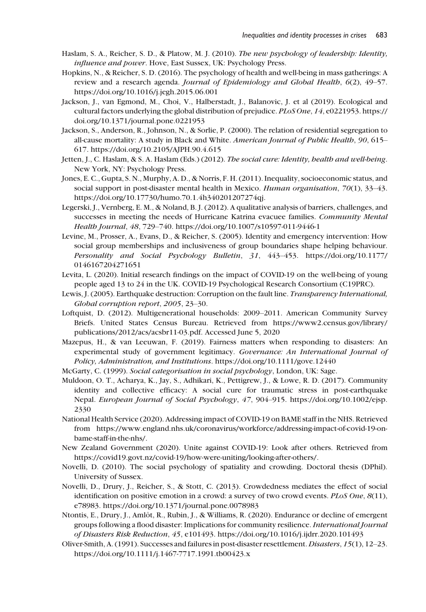- Haslam, S. A., Reicher, S. D., & Platow, M. J. (2010). The new psychology of leadership: Identity, influence and power. Hove, East Sussex, UK: Psychology Press.
- Hopkins, N., & Reicher, S. D. (2016). The psychology of health and well-being in mass gatherings: A review and a research agenda. Journal of Epidemiology and Global Health, 6(2), 49–57. <https://doi.org/10.1016/j.jegh.2015.06.001>
- Jackson, J., van Egmond, M., Choi, V., Halberstadt, J., Balanovic, J. et al (2019). Ecological and cultural factors underlying the global distribution of prejudice. PLoS One, 14, e0221953. [https://](https://doi.org/10.1371/journal.pone.0221953) [doi.org/10.1371/journal.pone.0221953](https://doi.org/10.1371/journal.pone.0221953)
- Jackson, S., Anderson, R., Johnson, N., & Sorlie, P. (2000). The relation of residential segregation to all-cause mortality: A study in Black and White. American Journal of Public Health, 90, 615– 617.<https://doi.org/10.2105/AJPH.90.4.615>
- Jetten, J., C. Haslam, & S. A. Haslam (Eds.) (2012). The social cure: Identity, health and well-being. New York, NY: Psychology Press.
- Jones, E. C., Gupta, S. N., Murphy, A. D., & Norris, F. H. (2011). Inequality, socioeconomic status, and social support in post-disaster mental health in Mexico. Human organisation, 70(1), 33-43. <https://doi.org/10.17730/humo.70.1.4h340201207274qj>.
- Legerski, J., Vernberg, E. M., & Noland, B. J. (2012). A qualitative analysis of barriers, challenges, and successes in meeting the needs of Hurricane Katrina evacuee families. Community Mental Health Journal, 48, 729–740.<https://doi.org/10.1007/s10597-011-9446-1>
- Levine, M., Prosser, A., Evans, D., & Reicher, S. (2005). Identity and emergency intervention: How social group memberships and inclusiveness of group boundaries shape helping behaviour. Personality and Social Psychology Bulletin, 31, 443–453. [https://doi.org/10.1177/](https://doi.org/10.1177/0146167204271651) [0146167204271651](https://doi.org/10.1177/0146167204271651)
- Levita, L. (2020). Initial research findings on the impact of COVID-19 on the well-being of young people aged 13 to 24 in the UK. COVID-19 Psychological Research Consortium (C19PRC).
- Lewis, J. (2005). Earthquake destruction: Corruption on the fault line. Transparency International, Global corruption report, 2005, 23–30.
- Loftquist, D. (2012). Multigenerational households: 2009–2011. American Community Survey Briefs. United States Census Bureau. Retrieved from [https://www2.census.gov/library/](https://www2.census.gov/library/publications/2012/acs/acsbr11-03.pdf.) [publications/2012/acs/acsbr11-03.pdf.](https://www2.census.gov/library/publications/2012/acs/acsbr11-03.pdf.) Accessed June 5, 2020
- Mazepus, H., & van Leeuwan, F. (2019). Fairness matters when responding to disasters: An experimental study of government legitimacy. Governance: An International Journal of Policy, Administration, and Institutions.<https://doi.org/10.1111/gove.12440>
- McGarty, C. (1999). Social categorisation in social psychology, London, UK: Sage.
- Muldoon, O. T., Acharya, K., Jay, S., Adhikari, K., Pettigrew, J., & Lowe, R. D. (2017). Community identity and collective efficacy: A social cure for traumatic stress in post-earthquake Nepal. European Journal of Social Psychology, 47, 904–915. [https://doi.org/10.1002/ejsp.](https://doi.org/10.1002/ejsp.2330) [2330](https://doi.org/10.1002/ejsp.2330)
- National Health Service (2020). Addressing impact of COVID-19 on BAME staff in the NHS. Retrieved from [https://www.england.nhs.uk/coronavirus/workforce/addressing-impact-of-covid-19-on](https://www.england.nhs.uk/coronavirus/workforce/addressing-impact-of-covid-19-on-bame-staff-in-the-nhs/)[bame-staff-in-the-nhs/.](https://www.england.nhs.uk/coronavirus/workforce/addressing-impact-of-covid-19-on-bame-staff-in-the-nhs/)
- New Zealand Government (2020). Unite against COVID-19: Look after others. Retrieved from [https://covid19.govt.nz/covid-19/how-were-uniting/looking-after-others/.](https://covid19.govt.nz/covid-19/how-were-uniting/looking-after-others/)
- Novelli, D. (2010). The social psychology of spatiality and crowding. Doctoral thesis (DPhil). University of Sussex.
- Novelli, D., Drury, J., Reicher, S., & Stott, C. (2013). Crowdedness mediates the effect of social identification on positive emotion in a crowd: a survey of two crowd events. PLoS One, 8(11), e78983.<https://doi.org/10.1371/journal.pone.0078983>
- Ntontis, E., Drury, J., Amlôt, R., Rubin, J., & Williams, R. (2020). Endurance or decline of emergent groups following a flood disaster: Implications for community resilience. International Journal of Disasters Risk Reduction, 45, e101493.<https://doi.org/10.1016/j.ijdrr.2020.101493>
- Oliver-Smith, A. (1991). Successes and failures in post-disaster resettlement. Disasters, 15(1), 12–23. <https://doi.org/10.1111/j.1467-7717.1991.tb00423.x>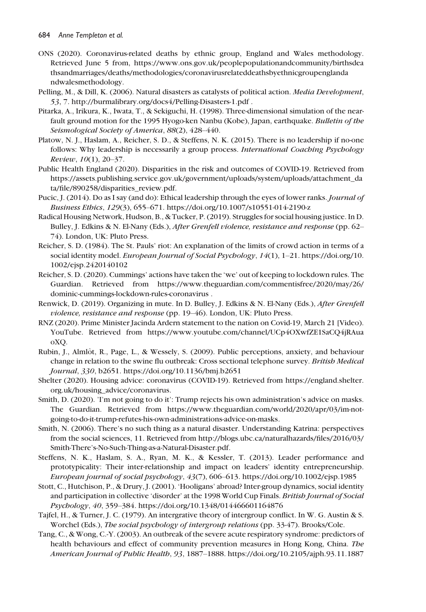- ONS (2020). Coronavirus-related deaths by ethnic group, England and Wales methodology. Retrieved June 5 from, [https://www.ons.gov.uk/peoplepopulationandcommunity/birthsdea](https://www.ons.gov.uk/peoplepopulationandcommunity/birthsdeathsandmarriages/deaths/methodologies/coronavirusrelateddeathsbyethnicgroupenglandandwalesmethodology) [thsandmarriages/deaths/methodologies/coronavirusrelateddeathsbyethnicgroupenglanda](https://www.ons.gov.uk/peoplepopulationandcommunity/birthsdeathsandmarriages/deaths/methodologies/coronavirusrelateddeathsbyethnicgroupenglandandwalesmethodology) [ndwalesmethodology](https://www.ons.gov.uk/peoplepopulationandcommunity/birthsdeathsandmarriages/deaths/methodologies/coronavirusrelateddeathsbyethnicgroupenglandandwalesmethodology).
- Pelling, M., & Dill, K. (2006). Natural disasters as catalysts of political action. Media Development, 53, 7.<http://burmalibrary.org/docs4/Pelling-Disasters-1.pdf> .
- Pitarka, A., Irikura, K., Iwata, T., & Sekiguchi, H. (1998). Three-dimensional simulation of the nearfault ground motion for the 1995 Hyogo-ken Nanbu (Kobe), Japan, earthquake. Bulletin of the Seismological Society of America, 88(2), 428–440.
- Platow, N. J., Haslam, A., Reicher, S. D., & Steffens, N. K. (2015). There is no leadership if no-one follows: Why leadership is necessarily a group process. International Coaching Psychology Review, 10(1), 20–37.
- Public Health England (2020). Disparities in the risk and outcomes of COVID-19. Retrieved from [https://assets.publishing.service.gov.uk/government/uploads/system/uploads/attachment\\_da](https://assets.publishing.service.gov.uk/government/uploads/system/uploads/attachment_data/file/890258/disparities_review.pdf) [ta/file/890258/disparities\\_review.pdf](https://assets.publishing.service.gov.uk/government/uploads/system/uploads/attachment_data/file/890258/disparities_review.pdf).
- Pucic, J. (2014). Do as I say (and do): Ethical leadership through the eyes of lower ranks. *Journal of* Business Ethics, 129(3), 655–671.<https://doi.org/10.1007/s10551-014-2190-z>
- Radical Housing Network, Hudson, B., & Tucker, P. (2019). Struggles for social housing justice. In D. Bulley, J. Edkins & N. El-Nany (Eds.), After Grenfell violence, resistance and response (pp. 62– 74). London, UK: Pluto Press.
- Reicher, S. D. (1984). The St. Pauls' riot: An explanation of the limits of crowd action in terms of a social identity model. *European Journal of Social Psychology*, 14(1), 1-21. [https://doi.org/10.](https://doi.org/10.1002/ejsp.2420140102) [1002/ejsp.2420140102](https://doi.org/10.1002/ejsp.2420140102)
- Reicher, S. D. (2020). Cummings' actions have taken the 'we' out of keeping to lockdown rules. The Guardian. Retrieved from [https://www.theguardian.com/commentisfree/2020/may/26/](https://www.theguardian.com/commentisfree/2020/may/26/dominic-cummings-lockdown-rules-coronavirus) [dominic-cummings-lockdown-rules-coronavirus](https://www.theguardian.com/commentisfree/2020/may/26/dominic-cummings-lockdown-rules-coronavirus) [.](http://.)
- Renwick, D. (2019). Organizing in mute. In D. Bulley, J. Edkins & N. El-Nany (Eds.), After Grenfell violence, resistance and response (pp. 19–46). London, UK: Pluto Press.
- RNZ (2020). Prime Minister Jacinda Ardern statement to the nation on Covid-19, March 21 [Video). YouTube. Retrieved from [https://www.youtube.com/channel/UCp4OXwfZE1SaCQ4jRAua](https://www.youtube.com/channel/UCp4OXwfZE1SaCQ4jRAuaoXQ) [oXQ.](https://www.youtube.com/channel/UCp4OXwfZE1SaCQ4jRAuaoXQ)
- Rubin, J., Almlot, R., Page, L., & Wessely, S. (2009). Public perceptions, anxiety, and behaviour ^ change in relation to the swine flu outbreak: Cross sectional telephone survey. British Medical Journal, 330, b2651.<https://doi.org/10.1136/bmj.b2651>
- Shelter (2020). Housing advice: coronavirus (COVID-19). Retrieved from [https://england.shelter.](https://england.shelter.org.uk/housing_advice/coronavirus) [org.uk/housing\\_advice/coronavirus.](https://england.shelter.org.uk/housing_advice/coronavirus)
- Smith, D. (2020). 'I'm not going to do it': Trump rejects his own administration's advice on masks. The Guardian. Retrieved from [https://www.theguardian.com/world/2020/apr/03/im-not](https://www.theguardian.com/world/2020/apr/03/im-not-going-to-do-it-trump-refutes-his-own-administrations-advice-on-masks)[going-to-do-it-trump-refutes-his-own-administrations-advice-on-masks.](https://www.theguardian.com/world/2020/apr/03/im-not-going-to-do-it-trump-refutes-his-own-administrations-advice-on-masks)
- Smith, N. (2006). There's no such thing as a natural disaster. Understanding Katrina: perspectives from the social sciences, 11. Retrieved from [http://blogs.ubc.ca/naturalhazards/files/2016/03/](http://blogs.ubc.ca/naturalhazards/files/2016/03/Smith-There%2019s-No-Such-Thing-as-a-Natural-Disaster.pdf) [Smith-There's-No-Such-Thing-as-a-Natural-Disaster.pdf](http://blogs.ubc.ca/naturalhazards/files/2016/03/Smith-There%2019s-No-Such-Thing-as-a-Natural-Disaster.pdf).
- Steffens, N. K., Haslam, S. A., Ryan, M. K., & Kessler, T. (2013). Leader performance and prototypicality: Their inter-relationship and impact on leaders' identity entrepreneurship. European journal of social psychology, 43(7), 606–613.<https://doi.org/10.1002/ejsp.1985>
- Stott, C., Hutchison, P., & Drury, J. (2001). 'Hooligans' abroad? Inter-group dynamics, social identity and participation in collective 'disorder' at the 1998 World Cup Finals. British Journal of Social Psychology, 40, 359–384.<https://doi.org/10.1348/014466601164876>
- Tajfel, H., & Turner, J. C. (1979). An intergrative theory of intergroup conflict. In W. G. Austin & S. Worchel (Eds.), The social psychology of intergroup relations (pp. 33-47). Brooks/Cole.
- Tang, C., & Wong, C.-Y. (2003). An outbreak of the severe acute respiratory syndrome: predictors of health behaviours and effect of community prevention measures in Hong Kong, China. The American Journal of Public Health, 93, 1887–1888.<https://doi.org/10.2105/ajph.93.11.1887>